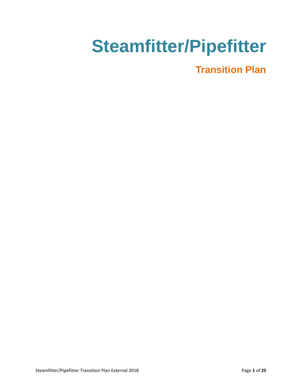# **Steamfitter/Pipefitter**

## **Transition Plan**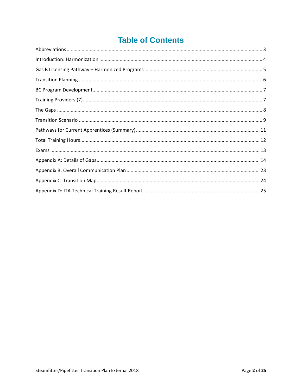### **Table of Contents**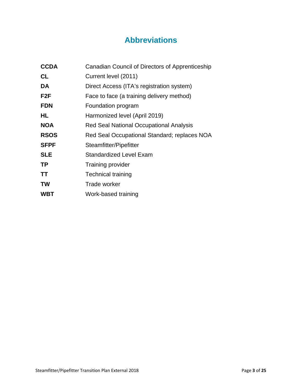### **Abbreviations**

<span id="page-2-0"></span>

| <b>CCDA</b>      | Canadian Council of Directors of Apprenticeship |
|------------------|-------------------------------------------------|
| <b>CL</b>        | Current level (2011)                            |
| DA               | Direct Access (ITA's registration system)       |
| F <sub>2</sub> F | Face to face (a training delivery method)       |
| <b>FDN</b>       | Foundation program                              |
| HL               | Harmonized level (April 2019)                   |
| <b>NOA</b>       | <b>Red Seal National Occupational Analysis</b>  |
| <b>RSOS</b>      | Red Seal Occupational Standard; replaces NOA    |
| <b>SFPF</b>      | Steamfitter/Pipefitter                          |
| <b>SLE</b>       | Standardized Level Exam                         |
| <b>TP</b>        | Training provider                               |
| <b>TT</b>        | Technical training                              |
| <b>TW</b>        | Trade worker                                    |
| <b>WBT</b>       | Work-based training                             |
|                  |                                                 |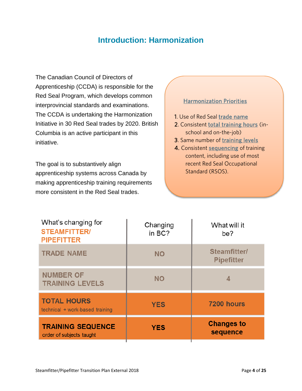### **Introduction: Harmonization**

<span id="page-3-0"></span>The Canadian Council of Directors of Apprenticeship (CCDA) is responsible for the Red Seal Program, which develops common interprovincial standards and examinations. The CCDA is undertaking the Harmonization Initiative in 30 Red Seal trades by 2020. British Columbia is an active participant in this initiative.

The goal is to substantively align apprenticeship systems across Canada by making apprenticeship training requirements more consistent in the Red Seal trades.

#### Harmonization Priorities

- 1. Use of Red Seal trade name
- 2. Consistent total training hours (inschool and on-the-job)
- 3. Same number of training levels
- 4. Consistent sequencing of training content, including use of most recent Red Seal Occupational Standard (RSOS).

| What's changing for<br><b>STEAMFITTER/</b><br><b>PIPEFITTER</b> | Changing<br>in BC? | What will it<br>be?               |
|-----------------------------------------------------------------|--------------------|-----------------------------------|
| <b>TRADE NAME</b>                                               | <b>NO</b>          | Steamfitter/<br><b>Pipefitter</b> |
| <b>NUMBER OF</b><br><b>TRAINING LEVELS</b>                      | <b>NO</b>          | 4                                 |
| <b>TOTAL HOURS</b><br>technical + work-based training           | <b>YES</b>         | 7200 hours                        |
| <b>TRAINING SEQUENCE</b><br>order of subjects taught            | <b>YES</b>         | <b>Changes to</b><br>sequence     |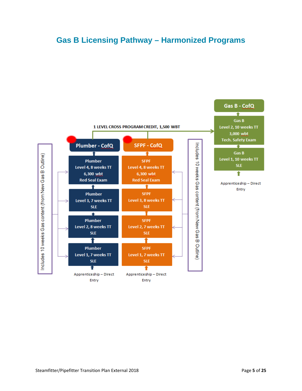### <span id="page-4-0"></span>**Gas B Licensing Pathway – Harmonized Programs**

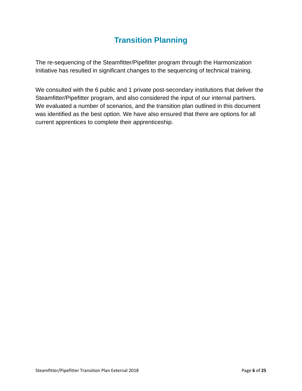### **Transition Planning**

<span id="page-5-0"></span>The re-sequencing of the Steamfitter/Pipefitter program through the Harmonization Initiative has resulted in significant changes to the sequencing of technical training.

We consulted with the 6 public and 1 private post-secondary institutions that deliver the Steamfitter/Pipefitter program, and also considered the input of our internal partners. We evaluated a number of scenarios, and the transition plan outlined in this document was identified as the best option. We have also ensured that there are options for all current apprentices to complete their apprenticeship.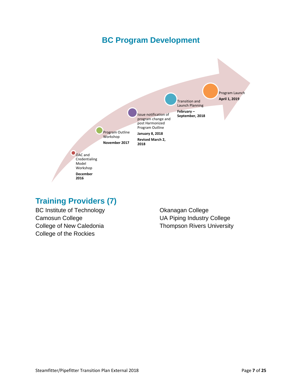### **BC Program Development**

<span id="page-6-0"></span>

### <span id="page-6-1"></span>**Training Providers (7)**

BC Institute of Technology Camosun College College of New Caledonia College of the Rockies

Okanagan College UA Piping Industry College Thompson Rivers University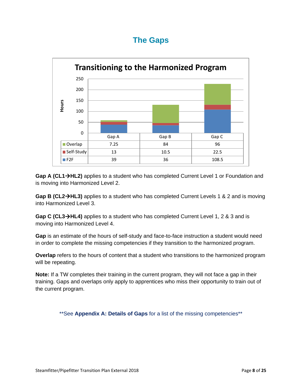### **The Gaps**

<span id="page-7-0"></span>

**Gap A (CL1HL2)** applies to a student who has completed Current Level 1 or Foundation and is moving into Harmonized Level 2.

**Gap B (CL2HL3)** applies to a student who has completed Current Levels 1 & 2 and is moving into Harmonized Level 3.

**Gap C (CL3HL4)** applies to a student who has completed Current Level 1, 2 & 3 and is moving into Harmonized Level 4.

**Gap** is an estimate of the hours of self-study and face-to-face instruction a student would need in order to complete the missing competencies if they transition to the harmonized program.

**Overlap** refers to the hours of content that a student who transitions to the harmonized program will be repeating.

**Note:** If a TW completes their training in the current program, they will not face a gap in their training. Gaps and overlaps only apply to apprentices who miss their opportunity to train out of the current program.

\*\*See **Appendix A: Details of Gaps** for a list of the missing competencies\*\*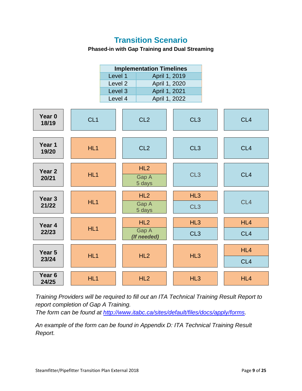### **Transition Scenario**

#### **Phased-in with Gap Training and Dual Streaming**

<span id="page-8-0"></span>

*Training Providers will be required to fill out an ITA Technical Training Result Report to report completion of Gap A Training.*

*The form can be found at [http://www.itabc.ca/sites/default/files/docs/apply/forms.](http://www.itabc.ca/sites/default/files/docs/apply/forms)*

*An example of the form can be found in Appendix D: ITA Technical Training Result Report.*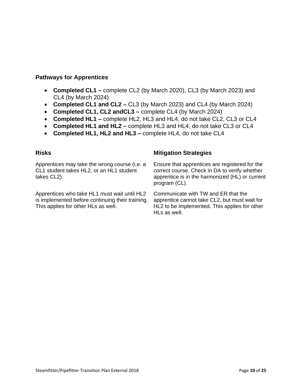#### **Pathways for Apprentices**

- **Completed CL1 –** complete CL2 (by March 2020), CL3 (by March 2023) and CL4 (by March 2024)
- **Completed CL1 and CL2 –** CL3 (by March 2023) and CL4 (by March 2024)
- **Completed CL1, CL2 andCL3 –** complete CL4 (by March 2024)
- **Completed HL1 –** complete HL2, HL3 and HL4, do not take CL2, CL3 or CL4
- **Completed HL1 and HL2 –** complete HL3 and HL4, do not take CL3 or CL4
- **Completed HL1, HL2 and HL3 –** complete HL4, do not take CL4

Apprentices may take the wrong course (i.e. a CL1 student takes HL2, or an HL1 student takes CL2).

Apprentices who take HL1 must wait until HL2 is implemented before continuing their training. This applies for other HLs as well.

#### **Risks Mitigation Strategies**

Ensure that apprentices are registered for the correct course. Check in DA to verify whether apprentice is in the harmonized (HL) or current program (CL).

Communicate with TW and ER that the apprentice cannot take CL2, but must wait for HL2 to be implemented. This applies for other HLs as well.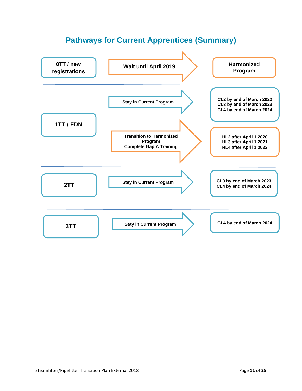### **Pathways for Current Apprentices (Summary)**

<span id="page-10-0"></span>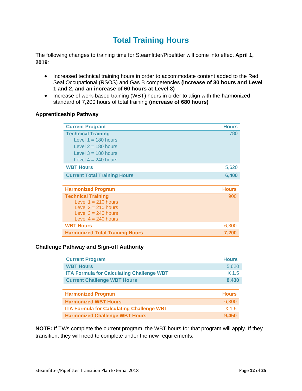### **Total Training Hours**

<span id="page-11-0"></span>The following changes to training time for Steamfitter/Pipefitter will come into effect **April 1, 2019**:

- Increased technical training hours in order to accommodate content added to the Red Seal Occupational (RSOS) and Gas B competencies **(increase of 30 hours and Level 1 and 2, and an increase of 60 hours at Level 3)**
- Increase of work-based training (WBT) hours in order to align with the harmonized standard of 7,200 hours of total training **(increase of 680 hours)**

#### **Apprenticeship Pathway**

| <b>Current Program</b>                 | <b>Hours</b> |
|----------------------------------------|--------------|
| <b>Technical Training</b>              | 780          |
| Level $1 = 180$ hours                  |              |
| Level $2 = 180$ hours                  |              |
| Level $3 = 180$ hours                  |              |
| Level $4 = 240$ hours                  |              |
| <b>WBT Hours</b>                       | 5,620        |
| <b>Current Total Training Hours</b>    | 6,400        |
|                                        |              |
| <b>Harmonized Program</b>              | <b>Hours</b> |
| <b>Technical Training</b>              | 900          |
| Level $1 = 210$ hours                  |              |
| Level $2 = 210$ hours                  |              |
| Level $3 = 240$ hours                  |              |
| Level $4 = 240$ hours                  |              |
| <b>WBT Hours</b>                       | 6,300        |
| <b>Harmonized Total Training Hours</b> | 7,200        |

#### **Challenge Pathway and Sign-off Authority**

| <b>Current Program</b>                           | <b>Hours</b>     |
|--------------------------------------------------|------------------|
| <b>WBT Hours</b>                                 | 5,620            |
| <b>ITA Formula for Calculating Challenge WBT</b> | X <sub>1.5</sub> |
| <b>Current Challenge WBT Hours</b>               | 8,430            |
|                                                  |                  |
| <b>Harmonized Program</b>                        |                  |
|                                                  | <b>Hours</b>     |
| <b>Harmonized WBT Hours</b>                      | 6,300            |
| <b>ITA Formula for Calculating Challenge WBT</b> | X <sub>1.5</sub> |

**NOTE:** If TWs complete the current program, the WBT hours for that program will apply. If they transition, they will need to complete under the new requirements.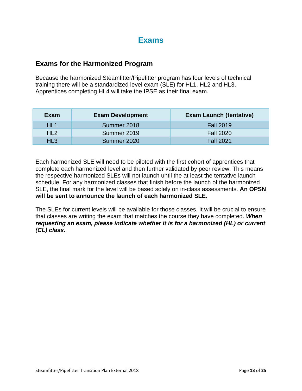### **Exams**

#### <span id="page-12-0"></span>**Exams for the Harmonized Program**

Because the harmonized Steamfitter/Pipefitter program has four levels of technical training there will be a standardized level exam (SLE) for HL1, HL2 and HL3. Apprentices completing HL4 will take the IPSE as their final exam.

| Exam            | <b>Exam Development</b> | <b>Exam Launch (tentative)</b> |
|-----------------|-------------------------|--------------------------------|
| HL <sub>1</sub> | Summer 2018             | <b>Fall 2019</b>               |
| HL <sub>2</sub> | Summer 2019             | <b>Fall 2020</b>               |
| HL3             | Summer 2020             | <b>Fall 2021</b>               |

Each harmonized SLE will need to be piloted with the first cohort of apprentices that complete each harmonized level and then further validated by peer review. This means the respective harmonized SLEs will not launch until the at least the tentative launch schedule. For any harmonized classes that finish before the launch of the harmonized SLE, the final mark for the level will be based solely on in-class assessments. **An OPSN will be sent to announce the launch of each harmonized SLE.**

The SLEs for current levels will be available for those classes. It will be crucial to ensure that classes are writing the exam that matches the course they have completed. *When requesting an exam, please indicate whether it is for a harmonized (HL) or current (CL) class***.**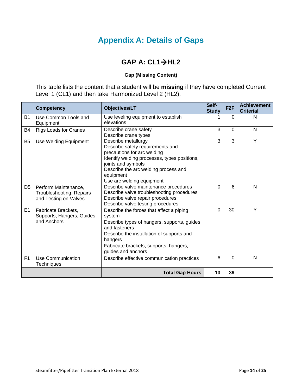### **Appendix A: Details of Gaps**

### **GAP A: CL1→HL2**

#### **Gap (Missing Content)**

<span id="page-13-0"></span>This table lists the content that a student will be **missing** if they have completed Current Level 1 (CL1) and then take Harmonized Level 2 (HL2).

|                | <b>Competency</b>                                                         | <b>Objectives/LT</b>                                                                                                                                                                                                                           | Self-<br><b>Study</b> | F <sub>2F</sub> | <b>Achievement</b><br><b>Criterial</b> |
|----------------|---------------------------------------------------------------------------|------------------------------------------------------------------------------------------------------------------------------------------------------------------------------------------------------------------------------------------------|-----------------------|-----------------|----------------------------------------|
| <b>B1</b>      | Use Common Tools and<br>Equipment                                         | Use leveling equipment to establish<br>elevations                                                                                                                                                                                              |                       | 0               | N                                      |
| B <sub>4</sub> | <b>Rigs Loads for Cranes</b>                                              | Describe crane safety<br>Describe crane types                                                                                                                                                                                                  | 3                     | $\mathbf 0$     | N                                      |
| B <sub>5</sub> | Use Welding Equipment                                                     | Describe metallurgy<br>Describe safety requirements and<br>precautions for arc welding<br>Identify welding processes, types positions,<br>joints and symbols<br>Describe the arc welding process and<br>equipment<br>Use arc welding equipment | 3                     | 3               | Y                                      |
| D <sub>5</sub> | Perform Maintenance,<br>Troubleshooting, Repairs<br>and Testing on Valves | Describe valve maintenance procedures<br>Describe valve troubleshooting procedures<br>Describe valve repair procedures<br>Describe valve testing procedures                                                                                    | $\Omega$              | 6               | N                                      |
| E1             | Fabricate Brackets,<br>Supports, Hangers, Guides<br>and Anchors           | Describe the forces that affect a piping<br>system<br>Describe types of hangers, supports, guides<br>and fasteners<br>Describe the installation of supports and<br>hangers<br>Fabricate brackets, supports, hangers,<br>guides and anchors     | $\Omega$              | 30              | Y                                      |
| F <sub>1</sub> | Use Communication<br><b>Techniques</b>                                    | Describe effective communication practices                                                                                                                                                                                                     | 6                     | $\Omega$        | N                                      |
|                |                                                                           | <b>Total Gap Hours</b>                                                                                                                                                                                                                         | 13                    | 39              |                                        |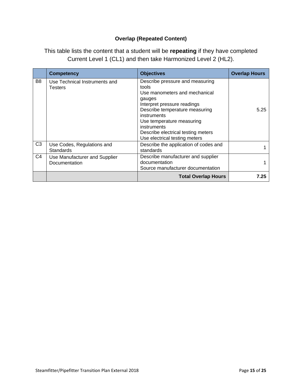#### **Overlap (Repeated Content)**

|    | <b>Competency</b>                              | <b>Objectives</b>                                                                                                                                                                                                                                                                                    | <b>Overlap Hours</b> |
|----|------------------------------------------------|------------------------------------------------------------------------------------------------------------------------------------------------------------------------------------------------------------------------------------------------------------------------------------------------------|----------------------|
| B8 | Use Technical Instruments and<br>Testers       | Describe pressure and measuring<br>tools<br>Use manometers and mechanical<br>gauges<br>Interpret pressure readings<br>Describe temperature measuring<br><i>instruments</i><br>Use temperature measuring<br><i>instruments</i><br>Describe electrical testing meters<br>Use electrical testing meters | 5.25                 |
| C3 | Use Codes, Regulations and<br><b>Standards</b> | Describe the application of codes and<br>standards                                                                                                                                                                                                                                                   |                      |
| C4 | Use Manufacturer and Supplier<br>Documentation | Describe manufacturer and supplier<br>documentation<br>Source manufacturer documentation                                                                                                                                                                                                             |                      |
|    |                                                | <b>Total Overlap Hours</b>                                                                                                                                                                                                                                                                           | 7.25                 |

This table lists the content that a student will be **repeating** if they have completed Current Level 1 (CL1) and then take Harmonized Level 2 (HL2).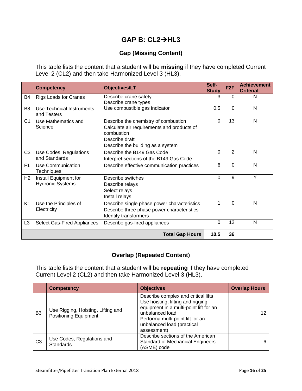### **GAP B: CL2HL3**

#### **Gap (Missing Content)**

This table lists the content that a student will be **missing** if they have completed Current Level 2 (CL2) and then take Harmonized Level 3 (HL3).

|                | <b>Competency</b>                        | <b>Objectives/LT</b>                        | Self-<br><b>Study</b> | F <sub>2</sub> F | <b>Achievement</b><br><b>Criterial</b> |
|----------------|------------------------------------------|---------------------------------------------|-----------------------|------------------|----------------------------------------|
| <b>B4</b>      | <b>Rigs Loads for Cranes</b>             | Describe crane safety                       | 3                     | $\Omega$         | N                                      |
|                |                                          | Describe crane types                        |                       |                  |                                        |
| B <sub>8</sub> | Use Technical Instruments<br>and Testers | Use combustible gas indicator               | 0.5                   | $\Omega$         | N                                      |
| C1             | Use Mathematics and                      | Describe the chemistry of combustion        | 0                     | 13               | N                                      |
|                | Science                                  | Calculate air requirements and products of  |                       |                  |                                        |
|                |                                          | combustion                                  |                       |                  |                                        |
|                |                                          | Describe draft                              |                       |                  |                                        |
|                |                                          | Describe the building as a system           |                       |                  |                                        |
| C <sub>3</sub> | Use Codes, Regulations                   | Describe the B149 Gas Code                  | 0                     | $\overline{2}$   | N                                      |
|                | and Standards                            | Interpret sections of the B149 Gas Code     |                       |                  |                                        |
| F <sub>1</sub> | Use Communication                        | Describe effective communication practices  | 6                     | $\Omega$         | N                                      |
|                | <b>Techniques</b>                        |                                             | $\Omega$              | 9                | Y                                      |
| H <sub>2</sub> | Install Equipment for                    | Describe switches                           |                       |                  |                                        |
|                | <b>Hydronic Systems</b>                  | Describe relays                             |                       |                  |                                        |
|                |                                          | Select relays                               |                       |                  |                                        |
|                |                                          | Install relays                              |                       |                  |                                        |
| K <sub>1</sub> | Use the Principles of                    | Describe single phase power characteristics |                       | $\Omega$         | N                                      |
|                | Electricity                              | Describe three phase power characteristics  |                       |                  |                                        |
|                |                                          | Identify transformers                       |                       |                  |                                        |
| L <sub>3</sub> | Select Gas-Fired Appliances              | Describe gas-fired appliances               | $\Omega$              | 12               | N                                      |
|                |                                          | <b>Total Gap Hours</b>                      | 10.5                  | 36               |                                        |

#### **Overlap (Repeated Content)**

This table lists the content that a student will be **repeating** if they have completed Current Level 2 (CL2) and then take Harmonized Level 3 (HL3).

|                | <b>Competency</b>                                                  | <b>Objectives</b>                                                                                                                                                                                                      | <b>Overlap Hours</b> |
|----------------|--------------------------------------------------------------------|------------------------------------------------------------------------------------------------------------------------------------------------------------------------------------------------------------------------|----------------------|
| B <sub>3</sub> | Use Rigging, Hoisting, Lifting and<br><b>Positioning Equipment</b> | Describe complex and critical lifts<br>Use hoisting, lifting and rigging<br>equipment in a multi-point lift for an<br>unbalanced load<br>Performa multi-point lift for an<br>unbalanced load (practical<br>assessment) |                      |
| C <sub>3</sub> | Use Codes, Regulations and<br><b>Standards</b>                     | Describe sections of the American<br><b>Standard of Mechanical Engineers</b><br>(ASME) code                                                                                                                            | 6                    |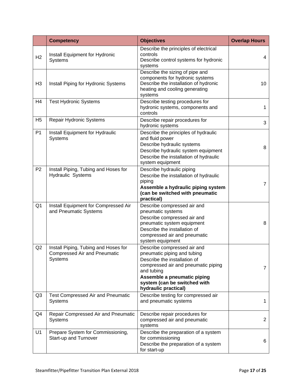|                | <b>Competency</b>                                                                      | <b>Objectives</b>                                                                                                                                                                                                                      | <b>Overlap Hours</b> |
|----------------|----------------------------------------------------------------------------------------|----------------------------------------------------------------------------------------------------------------------------------------------------------------------------------------------------------------------------------------|----------------------|
| H2             | Install Equipment for Hydronic<br>Systems                                              | Describe the principles of electrical<br>controls<br>Describe control systems for hydronic<br>systems                                                                                                                                  | 4                    |
| H <sub>3</sub> | Install Piping for Hydronic Systems                                                    | Describe the sizing of pipe and<br>components for hydronic systems<br>Describe the installation of hydronic<br>heating and cooling generating<br>systems                                                                               | 10                   |
| H4             | <b>Test Hydronic Systems</b>                                                           | Describe testing procedures for<br>hydronic systems, components and<br>controls                                                                                                                                                        | 1                    |
| H <sub>5</sub> | Repair Hydronic Systems                                                                | Describe repair procedures for<br>hydronic systems                                                                                                                                                                                     | 3                    |
| P <sub>1</sub> | Install Equipment for Hydraulic<br><b>Systems</b>                                      | Describe the principles of hydraulic<br>and fluid power<br>Describe hydraulic systems<br>Describe hydraulic system equipment<br>Describe the installation of hydraulic<br>system equipment                                             | 8                    |
| P <sub>2</sub> | Install Piping, Tubing and Hoses for<br>Hydraulic Systems                              | Describe hydraulic piping<br>Describe the installation of hydraulic<br>piping<br>Assemble a hydraulic piping system<br>(can be switched with pneumatic<br>practical)                                                                   | $\overline{7}$       |
| Q <sub>1</sub> | Install Equipment for Compressed Air<br>and Pneumatic Systems                          | Describe compressed air and<br>pneumatic systems<br>Describe compressed air and<br>pneumatic system equipment<br>Describe the installation of<br>compressed air and pneumatic<br>system equipment                                      | 8                    |
| Q2             | Install Piping, Tubing and Hoses for<br><b>Compressed Air and Pneumatic</b><br>Systems | Describe compressed air and<br>pneumatic piping and tubing<br>Describe the installation of<br>compressed air and pneumatic piping<br>and tubing<br>Assemble a pneumatic piping<br>system (can be switched with<br>hydraulic practical) | 7                    |
| Q3             | <b>Test Compressed Air and Pneumatic</b><br>Systems                                    | Describe testing for compressed air<br>and pneumatic systems                                                                                                                                                                           | 1                    |
| Q4             | Repair Compressed Air and Pneumatic<br>Systems                                         | Describe repair procedures for<br>compressed air and pneumatic<br>systems                                                                                                                                                              | $\overline{2}$       |
| U1             | Prepare System for Commissioning,<br>Start-up and Turnover                             | Describe the preparation of a system<br>for commissioning<br>Describe the preparation of a system<br>for start-up                                                                                                                      | 6                    |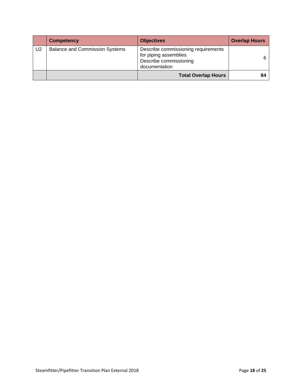|                | <b>Competency</b>                     | <b>Objectives</b>                                                                                       | <b>Overlap Hours</b> |
|----------------|---------------------------------------|---------------------------------------------------------------------------------------------------------|----------------------|
| U <sub>2</sub> | <b>Balance and Commission Systems</b> | Describe commissioning requirements<br>for piping assemblies<br>Describe commissioning<br>documentation |                      |
|                |                                       | <b>Total Overlap Hours</b>                                                                              |                      |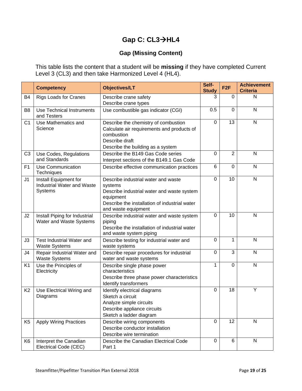### **Gap C: CL3→HL4**

#### **Gap (Missing Content)**

This table lists the content that a student will be **missing** if they have completed Current Level 3 (CL3) and then take Harmonized Level 4 (HL4).

|                | <b>Competency</b>                                                     | <b>Objectives/LT</b>                                                                                                                                                              | Self-<br><b>Study</b> | F <sub>2F</sub> | <b>Achievement</b><br><b>Criteria</b> |
|----------------|-----------------------------------------------------------------------|-----------------------------------------------------------------------------------------------------------------------------------------------------------------------------------|-----------------------|-----------------|---------------------------------------|
| B <sub>4</sub> | <b>Rigs Loads for Cranes</b>                                          | Describe crane safety<br>Describe crane types                                                                                                                                     | 3                     | 0               | N                                     |
| B <sub>8</sub> | <b>Use Technical Instruments</b><br>and Testers                       | Use combustible gas indicator (CGI)                                                                                                                                               | 0.5                   | $\Omega$        | N                                     |
| C <sub>1</sub> | Use Mathematics and<br>Science                                        | Describe the chemistry of combustion<br>Calculate air requirements and products of<br>combustion<br>Describe draft<br>Describe the building as a system                           | $\Omega$              | 13              | N                                     |
| C <sub>3</sub> | Use Codes, Regulations<br>and Standards                               | Describe the B149 Gas Code series<br>Interpret sections of the B149.1 Gas Code                                                                                                    | 0                     | $\overline{2}$  | N                                     |
| F <sub>1</sub> | <b>Use Communication</b><br>Techniques                                | Describe effective communication practices                                                                                                                                        | 6                     | $\mathbf 0$     | N                                     |
| J <sub>1</sub> | Install Equipment for<br><b>Industrial Water and Waste</b><br>Systems | Describe industrial water and waste<br>systems<br>Describe industrial water and waste system<br>equipment<br>Describe the installation of industrial water<br>and waste equipment | $\overline{0}$        | 10              | N                                     |
| J2             | Install Piping for Industrial<br>Water and Waste Systems              | Describe industrial water and waste system<br>piping<br>Describe the installation of industrial water<br>and waste system piping                                                  | $\Omega$              | 10              | N                                     |
| J3             | Test Industrial Water and<br><b>Waste Systems</b>                     | Describe testing for industrial water and<br>waste systems                                                                                                                        | $\Omega$              | 1               | N                                     |
| J4             | Repair Industrial Water and<br><b>Waste Systems</b>                   | Describe repair procedures for industrial<br>water and waste systems                                                                                                              | $\overline{0}$        | 3               | N                                     |
| K <sub>1</sub> | Use the Principles of<br>Electricity                                  | Describe single phase power<br>characteristics<br>Describe three phase power characteristics<br>Identify transformers                                                             | 1                     | $\overline{0}$  | N                                     |
| K <sub>2</sub> | Use Electrical Wiring and<br>Diagrams                                 | Identify electrical diagrams<br>Sketch a circuit<br>Analyze simple circuits<br>Describe appliance circuits<br>Sketch a ladder diagram                                             | $\Omega$              | 18              | Y                                     |
| K <sub>5</sub> | <b>Apply Wiring Practices</b>                                         | Describe wiring components<br>Describe conductor installation<br>Describe wire termination                                                                                        | $\mathbf 0$           | 12              | N                                     |
| K <sub>6</sub> | Interpret the Canadian<br>Electrical Code (CEC)                       | Describe the Canadian Electrical Code<br>Part 1                                                                                                                                   | 0                     | 6               | N                                     |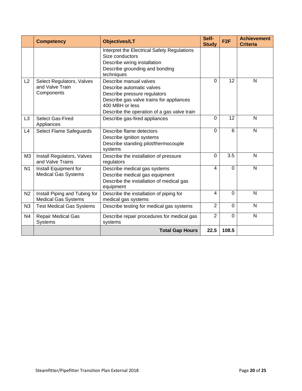|                | <b>Competency</b>                                           | <b>Objectives/LT</b>                                                                                                                                                                              | Self-<br><b>Study</b> | F <sub>2</sub> F | <b>Achievement</b><br><b>Criteria</b> |
|----------------|-------------------------------------------------------------|---------------------------------------------------------------------------------------------------------------------------------------------------------------------------------------------------|-----------------------|------------------|---------------------------------------|
|                |                                                             | Interpret the Electrical Safety Regulations<br>Size conductors<br>Describe wiring installation<br>Describe grounding and bonding<br>techniques                                                    |                       |                  |                                       |
| L2             | Select Regulators, Valves<br>and Valve Train<br>Components  | Describe manual valves<br>Describe automatic valves<br>Describe pressure regulators<br>Describe gas valve trains for appliances<br>400 MBH or less<br>Describe the operation of a gas valve train | 0                     | 12               | N                                     |
| L <sub>3</sub> | <b>Select Gas-Fired</b><br>Appliances                       | Describe gas-fired appliances                                                                                                                                                                     | 0                     | 12               | N                                     |
| L4             | Select Flame Safeguards                                     | Describe flame detectors<br>Describe ignition systems<br>Describe standing pilot/thermocouple<br>systems                                                                                          | 0                     | 6                | N                                     |
| M <sub>3</sub> | Install Regulators, Valves<br>and Valve Trains              | Describe the installation of pressure<br>regulators                                                                                                                                               | 0                     | 3.5              | N                                     |
| N <sub>1</sub> | Install Equipment for<br><b>Medical Gas Systems</b>         | Describe medical gas systems<br>Describe medical gas equipment<br>Describe the installation of medical gas<br>equipment                                                                           | 4                     | $\mathbf 0$      | N                                     |
| N <sub>2</sub> | Install Piping and Tubing for<br><b>Medical Gas Systems</b> | Describe the installation of piping for<br>medical gas systems                                                                                                                                    | 4                     | $\Omega$         | N                                     |
| N3             | <b>Test Medical Gas Systems</b>                             | Describe testing for medical gas systems                                                                                                                                                          | $\overline{2}$        | $\Omega$         | N                                     |
| N <sub>4</sub> | <b>Repair Medical Gas</b><br><b>Systems</b>                 | Describe repair procedures for medical gas<br>systems                                                                                                                                             | $\overline{2}$        | $\mathbf 0$      | N                                     |
|                |                                                             | <b>Total Gap Hours</b>                                                                                                                                                                            | 22.5                  | 108.5            |                                       |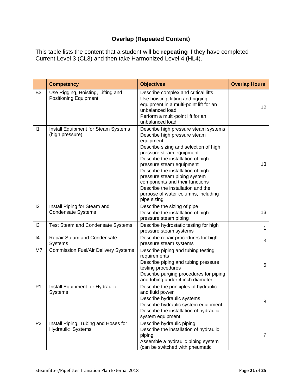### **Overlap (Repeated Content)**

This table lists the content that a student will be **repeating** if they have completed Current Level 3 (CL3) and then take Harmonized Level 4 (HL4).

|                | <b>Competency</b>                                                  | <b>Objectives</b>                                                                                                                                                                                                                                                                                                                                                                                                         | <b>Overlap Hours</b> |
|----------------|--------------------------------------------------------------------|---------------------------------------------------------------------------------------------------------------------------------------------------------------------------------------------------------------------------------------------------------------------------------------------------------------------------------------------------------------------------------------------------------------------------|----------------------|
| B <sub>3</sub> | Use Rigging, Hoisting, Lifting and<br><b>Positioning Equipment</b> | Describe complex and critical lifts<br>Use hoisting, lifting and rigging<br>equipment in a multi-point lift for an<br>unbalanced load<br>Perform a multi-point lift for an<br>unbalanced load                                                                                                                                                                                                                             | $12 \overline{ }$    |
| $\vert$ 1      | Install Equipment for Steam Systems<br>(high pressure)             | Describe high pressure steam systems<br>Describe high pressure steam<br>equipment<br>Describe sizing and selection of high<br>pressure steam equipment<br>Describe the installation of high<br>pressure steam equipment<br>Describe the installation of high<br>pressure steam piping system<br>components and their functions<br>Describe the installation and the<br>purpose of water columns, including<br>pipe sizing | 13                   |
| 12             | Install Piping for Steam and<br><b>Condensate Systems</b>          | Describe the sizing of pipe<br>Describe the installation of high<br>pressure steam piping                                                                                                                                                                                                                                                                                                                                 | 13                   |
| 13             | <b>Test Steam and Condensate Systems</b>                           | Describe hydrostatic testing for high<br>pressure steam systems                                                                                                                                                                                                                                                                                                                                                           | 1                    |
| 4              | Repair Steam and Condensate<br>Systems                             | Describe repair procedures for high<br>pressure steam systems                                                                                                                                                                                                                                                                                                                                                             | 3                    |
| M7             | <b>Commission Fuel/Air Delivery Systems</b>                        | Describe piping and tubing testing<br>requirements<br>Describe piping and tubing pressure<br>testing procedures<br>Describe purging procedures for piping<br>and tubing under 4 inch diameter                                                                                                                                                                                                                             | 6                    |
| P <sub>1</sub> | Install Equipment for Hydraulic<br><b>Systems</b>                  | Describe the principles of hydraulic<br>and fluid power<br>Describe hydraulic systems<br>Describe hydraulic system equipment<br>Describe the installation of hydraulic<br>system equipment                                                                                                                                                                                                                                | 8                    |
| P <sub>2</sub> | Install Piping, Tubing and Hoses for<br>Hydraulic Systems          | Describe hydraulic piping<br>Describe the installation of hydraulic<br>piping<br>Assemble a hydraulic piping system<br>(can be switched with pneumatic                                                                                                                                                                                                                                                                    | $\overline{7}$       |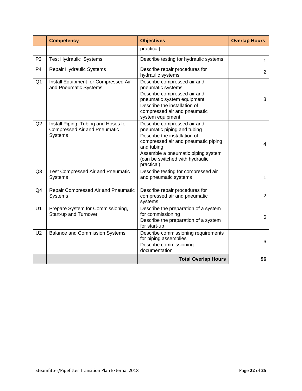|                | <b>Competency</b>                                                                      | <b>Objectives</b>                                                                                                                                                                                                                      | <b>Overlap Hours</b> |
|----------------|----------------------------------------------------------------------------------------|----------------------------------------------------------------------------------------------------------------------------------------------------------------------------------------------------------------------------------------|----------------------|
|                |                                                                                        | practical)                                                                                                                                                                                                                             |                      |
| P <sub>3</sub> | <b>Test Hydraulic Systems</b>                                                          | Describe testing for hydraulic systems                                                                                                                                                                                                 | 1                    |
| P <sub>4</sub> | <b>Repair Hydraulic Systems</b>                                                        | Describe repair procedures for<br>hydraulic systems                                                                                                                                                                                    | $\overline{2}$       |
| Q <sub>1</sub> | Install Equipment for Compressed Air<br>and Pneumatic Systems                          | Describe compressed air and<br>pneumatic systems<br>Describe compressed air and<br>pneumatic system equipment<br>Describe the installation of<br>compressed air and pneumatic<br>system equipment                                      | 8                    |
| Q2             | Install Piping, Tubing and Hoses for<br><b>Compressed Air and Pneumatic</b><br>Systems | Describe compressed air and<br>pneumatic piping and tubing<br>Describe the installation of<br>compressed air and pneumatic piping<br>and tubing<br>Assemble a pneumatic piping system<br>(can be switched with hydraulic<br>practical) | 4                    |
| Q <sub>3</sub> | <b>Test Compressed Air and Pneumatic</b><br>Systems                                    | Describe testing for compressed air<br>and pneumatic systems                                                                                                                                                                           | $\mathbf{1}$         |
| Q4             | Repair Compressed Air and Pneumatic<br>Systems                                         | Describe repair procedures for<br>compressed air and pneumatic<br>systems                                                                                                                                                              | $\overline{2}$       |
| U1             | Prepare System for Commissioning,<br>Start-up and Turnover                             | Describe the preparation of a system<br>for commissioning<br>Describe the preparation of a system<br>for start-up                                                                                                                      | 6                    |
| U <sub>2</sub> | <b>Balance and Commission Systems</b>                                                  | Describe commissioning requirements<br>for piping assemblies<br>Describe commissioning<br>documentation                                                                                                                                | 6                    |
|                |                                                                                        | <b>Total Overlap Hours</b>                                                                                                                                                                                                             | 96                   |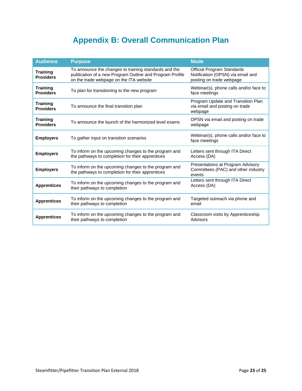### **Appendix B: Overall Communication Plan**

<span id="page-22-0"></span>

| <b>Audience</b>                     | <b>Purpose</b>                                                                                                                                               | <b>Mode</b>                                                                                 |
|-------------------------------------|--------------------------------------------------------------------------------------------------------------------------------------------------------------|---------------------------------------------------------------------------------------------|
| <b>Training</b><br><b>Providers</b> | To announce the changes to training standards and the<br>publication of a new Program Outline and Program Profile<br>on the trade webpage on the ITA website | Official Program Standards<br>Notification (OPSN) via email and<br>posting on trade webpage |
| <b>Training</b><br><b>Providers</b> | To plan for transitioning to the new program                                                                                                                 | Webinar(s), phone calls and/or face to<br>face meetings                                     |
| Training<br><b>Providers</b>        | To announce the final transition plan                                                                                                                        | Program Update and Transition Plan<br>via email and posting on trade<br>webpage             |
| <b>Training</b><br><b>Providers</b> | To announce the launch of the harmonized level exams                                                                                                         | OPSN via email and posting on trade<br>webpage                                              |
| <b>Employers</b>                    | To gather input on transition scenarios                                                                                                                      | Webinar(s), phone calls and/or face to<br>face meetings                                     |
| <b>Employers</b>                    | To inform on the upcoming changes to the program and<br>the pathways to completion for their apprentices                                                     | Letters sent through ITA Direct<br>Access (DA)                                              |
| <b>Employers</b>                    | To inform on the upcoming changes to the program and<br>the pathways to completion for their apprentices                                                     | Presentations at Program Advisory<br>Committees (PAC) and other industry<br>events          |
| <b>Apprentices</b>                  | To inform on the upcoming changes to the program and<br>their pathways to completion                                                                         | Letters sent through ITA Direct<br>Access (DA)                                              |
| <b>Apprentices</b>                  | To inform on the upcoming changes to the program and<br>their pathways to completion                                                                         | Targeted outreach via phone and<br>email                                                    |
| <b>Apprentices</b>                  | To inform on the upcoming changes to the program and<br>their pathways to completion                                                                         | Classroom visits by Apprenticeship<br>Advisors                                              |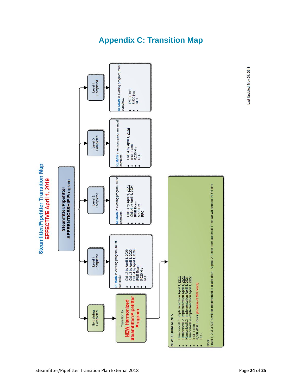<span id="page-23-0"></span>

### **Appendix C: Transition Map**

Last Updated: May 29, 2018